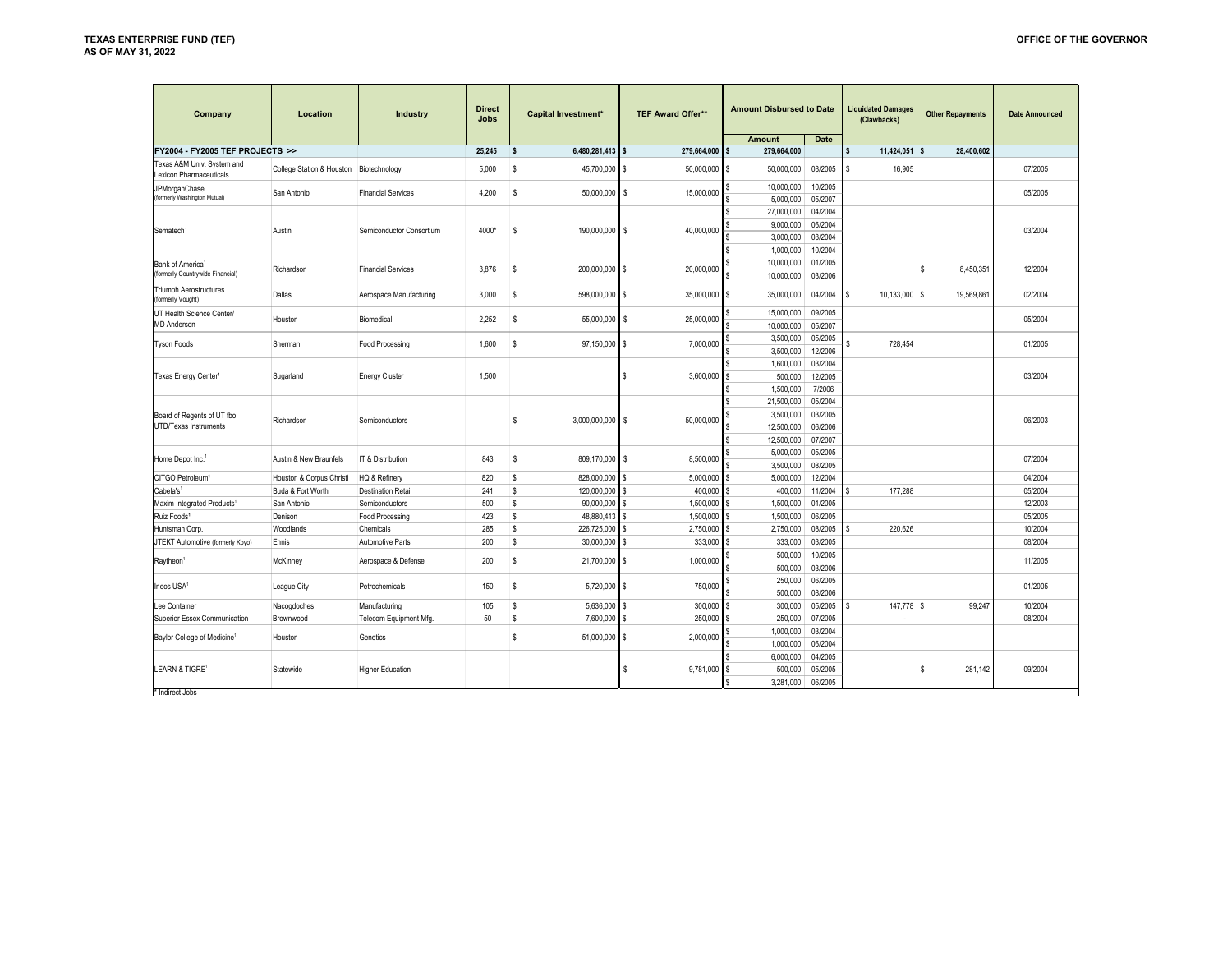| Company                                               | Location                  | <b>Industry</b>           | <b>Direct</b><br><b>Jobs</b> | <b>Capital Investment*</b>    | <b>TEF Award Offer**</b> |          | <b>Amount Disbursed to Date</b><br><b>Amount</b> | <b>Date</b>        |    | <b>Liquidated Damages</b><br>(Clawbacks) |                    | <b>Other Repayments</b> | <b>Date Announced</b> |
|-------------------------------------------------------|---------------------------|---------------------------|------------------------------|-------------------------------|--------------------------|----------|--------------------------------------------------|--------------------|----|------------------------------------------|--------------------|-------------------------|-----------------------|
| FY2004 - FY2005 TEF PROJECTS >>                       |                           |                           | 25,245                       | <sub>S</sub><br>6,480,281,413 | 279,664,000              | l S      | 279,664,000                                      |                    | Ś  | $11,424,051$ \$                          |                    | 28,400,602              |                       |
| Texas A&M Univ. System and<br>Lexicon Pharmaceuticals | College Station & Houston | Biotechnology             | 5,000                        | s<br>45,700,000               | 50,000,000<br>\$         | l \$     | 50,000,000                                       | 08/2005            | \$ | 16,905                                   |                    |                         | 07/2005               |
| JPMorganChase<br>(formerly Washington Mutual)         | San Antonio               | <b>Financial Services</b> | 4,200                        | s<br>50,000,000               | l \$<br>15,000,000       |          | 10,000,000<br>5,000,000                          | 10/2005<br>05/2007 |    |                                          |                    |                         | 05/2005               |
|                                                       |                           |                           |                              |                               |                          |          | 27,000,000                                       | 04/2004            |    |                                          |                    |                         |                       |
|                                                       |                           |                           |                              |                               |                          |          | 9,000,000                                        | 06/2004            |    |                                          |                    |                         |                       |
| Sematech <sup>®</sup>                                 | Austin                    | Semiconductor Consortium  | 4000*                        | s<br>190,000,000              | l S<br>40,000,000        |          | 3,000,000                                        | 08/2004            |    |                                          |                    |                         | 03/2004               |
|                                                       |                           |                           |                              |                               |                          |          | 1,000,000                                        | 10/2004            |    |                                          |                    |                         |                       |
| Bank of America <sup>1</sup>                          |                           |                           |                              |                               |                          |          | 10,000,000                                       | 01/2005            |    |                                          |                    |                         |                       |
| (formerly Countrywide Financial)                      | Richardson                | <b>Financial Services</b> | 3,876                        | s<br>200,000,000              | 20,000,000<br>l \$       |          | 10,000,000                                       | 03/2006            |    |                                          | s.                 | 8,450,351               | 12/2004               |
| <b>Triumph Aerostructures</b><br>(formerly Vought)    | Dallas                    | Aerospace Manufacturing   | 3,000                        | S<br>598,000,000              | 35,000,000<br><b>S</b>   | l s      | 35,000,000                                       | 04/2004            | \$ | 10,133,000                               | l S                | 19,569,861              | 02/2004               |
| UT Health Science Center/                             |                           |                           |                              |                               |                          |          | 15,000,000                                       | 09/2005            |    |                                          |                    |                         |                       |
| <b>MD Anderson</b>                                    | Houston                   | Biomedical                | 2,252                        | S<br>55,000,000 \$            | 25,000,000               |          | 10,000,000                                       | 05/2007            |    |                                          |                    |                         | 05/2004               |
|                                                       |                           |                           |                              |                               |                          |          | 3,500,000                                        | 05/2005            |    |                                          |                    |                         |                       |
| <b>Tyson Foods</b>                                    | Sherman                   | Food Processing           | 1,600                        | 97,150,000 \$<br>S            | 7,000,000                |          | 3,500,000                                        | 12/2006            |    | 728,454                                  |                    |                         | 01/2005               |
| Texas Energy Center <sup>1</sup>                      |                           |                           |                              |                               |                          |          | 1,600,000                                        | 03/2004            |    |                                          |                    |                         |                       |
|                                                       | Sugarland                 | <b>Energy Cluster</b>     | 1,500                        |                               | 3,600,000                |          | 500,000                                          | 12/2005            |    |                                          |                    |                         | 03/2004               |
|                                                       |                           |                           |                              |                               |                          |          | 1,500,000                                        | 7/2006             |    |                                          |                    |                         |                       |
|                                                       |                           |                           |                              |                               |                          |          | 21,500,000                                       | 05/2004            |    |                                          |                    |                         |                       |
| Board of Regents of UT fbo                            |                           |                           |                              | s<br>3,000,000,000            | 50,000,000<br>l S        |          | 3,500,000                                        | 03/2005            |    |                                          |                    |                         | 06/2003               |
| <b>UTD/Texas Instruments</b>                          | Richardson                | Semiconductors            |                              |                               |                          |          | 12,500,000                                       | 06/2006            |    |                                          |                    |                         |                       |
|                                                       |                           |                           |                              |                               |                          |          | 12,500,000                                       | 07/2007            |    |                                          |                    |                         |                       |
| Home Depot Inc.                                       | Austin & New Braunfels    | IT & Distribution         | 843                          | s<br>809,170,000              | s<br>8,500,000           |          | 5,000,000                                        | 05/2005            |    |                                          |                    |                         | 07/2004               |
|                                                       |                           |                           |                              |                               |                          |          | 3,500,000                                        | 08/2005            |    |                                          |                    |                         |                       |
| CITGO Petroleum <sup>1</sup>                          | Houston & Corpus Christi  | HQ & Refinery             | 820                          | s<br>828,000,000              | 5,000,000                |          | 5,000,000                                        | 12/2004            |    |                                          |                    |                         | 04/2004               |
| Cabela's <sup>1</sup>                                 | Buda & Fort Worth         | <b>Destination Retail</b> | 241                          | s<br>120,000,000              | 400,000<br>\$            |          | 400,000                                          | 11/2004            |    | 177,288                                  |                    |                         | 05/2004               |
| Maxim Integrated Products <sup>1</sup>                | San Antonio               | Semiconductors            | 500                          | Ś<br>90,000,000               | 1,500,000<br>\$          |          | 1,500,000                                        | 01/2005            |    |                                          |                    |                         | 12/2003               |
| Ruiz Foods <sup>1</sup>                               | Denison                   | Food Processing           | 423                          | Ś<br>48,880,413               | 1,500,000<br>\$          |          | 1,500,000                                        | 06/2005            |    |                                          |                    |                         | 05/2005               |
| Huntsman Corp.                                        | Woodlands                 | Chemicals                 | 285                          | s<br>226,725,000              | 2,750,000                |          | 2,750,000                                        | 08/2005            |    | 220,626                                  |                    |                         | 10/2004               |
| JTEKT Automotive (formerly Koyo)                      | Ennis                     | Automotive Parts          | 200                          | s<br>30,000,000               | 333,000                  |          | 333,000                                          | 03/2005            |    |                                          |                    |                         | 08/2004               |
| Raytheon <sup>1</sup>                                 | McKinney                  | Aerospace & Defense       | 200                          | s<br>21,700,000 \$            | 1,000,000                |          | 500,000                                          | 10/2005            |    |                                          |                    |                         | 11/2005               |
|                                                       |                           |                           |                              |                               |                          |          | 500.000                                          | 03/2006            |    |                                          |                    |                         |                       |
| Ineos USA                                             | League City               | Petrochemicals            | 150                          | s<br>5,720,000                | 750,000<br>l \$          |          | 250,000                                          | 06/2005            |    |                                          |                    |                         | 01/2005               |
|                                                       |                           |                           |                              |                               |                          |          | 500,000                                          | 08/2006            |    |                                          |                    |                         |                       |
| Lee Container                                         | Nacogdoches               | Manufacturing             | 105                          | s<br>5,636,000                | 300,000                  |          | 300,000                                          | 05/2005            |    | 147,778 \$                               |                    | 99.247                  | 10/2004               |
| Superior Essex Communication                          | Brownwood                 | Telecom Equipment Mfg.    | 50                           | s<br>7,600,000                | 250,000                  |          | 250,000                                          | 07/2005            |    | ٠                                        |                    |                         | 08/2004               |
| Baylor College of Medicine <sup>1</sup>               | Houston                   | Genetics                  |                              | s<br>51,000,000               | 2,000,000<br>l \$        |          | 1,000,000                                        | 03/2004            |    |                                          |                    |                         |                       |
|                                                       |                           |                           |                              |                               |                          |          | 1,000,000                                        | 06/2004            |    |                                          |                    |                         |                       |
|                                                       |                           |                           |                              |                               | 9,781,000                |          | 6,000,000                                        | 04/2005            |    |                                          |                    |                         |                       |
| LEARN & TIGRE <sup>1</sup>                            | Statewide                 | <b>Higher Education</b>   |                              |                               |                          |          | 500,000                                          | 05/2005            |    |                                          | $\mathbf{\hat{S}}$ | 281,142                 | 09/2004               |
|                                                       |                           |                           |                              |                               |                          | <b>¢</b> | 3,281,000                                        | 06/2005            |    |                                          |                    |                         |                       |

\* Indirect Jobs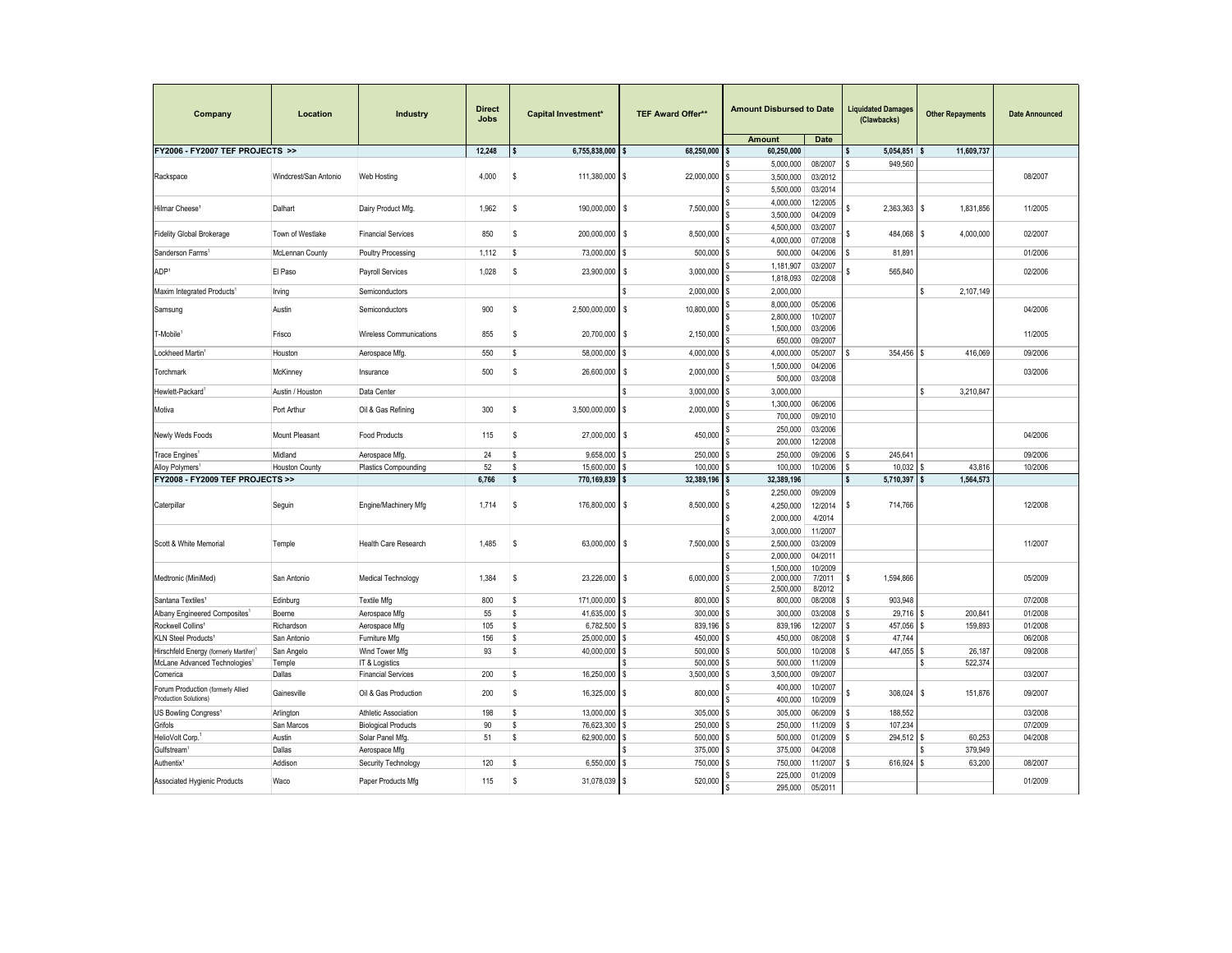| Company                                                    | Location                         | Industry                       | <b>Direct</b><br><b>Jobs</b> | <b>Capital Investment*</b>                                   | <b>TEF Award Offer**</b> | <b>Amount Disbursed to Date</b> |                    | <b>Liquidated Damages</b><br>(Clawbacks) |                   | <b>Other Repayments</b> | <b>Date Announced</b> |  |  |  |
|------------------------------------------------------------|----------------------------------|--------------------------------|------------------------------|--------------------------------------------------------------|--------------------------|---------------------------------|--------------------|------------------------------------------|-------------------|-------------------------|-----------------------|--|--|--|
|                                                            |                                  |                                |                              |                                                              |                          | <b>Amount</b>                   | <b>Date</b>        |                                          |                   |                         |                       |  |  |  |
| FY2006 - FY2007 TEF PROJECTS >>                            |                                  |                                | 12,248                       | <sub>S</sub><br>6,755,838,000                                | 68.250.000               | 60,250,000                      |                    | s                                        | 5,054,851         | l S<br>11,609,737       |                       |  |  |  |
|                                                            |                                  |                                |                              |                                                              |                          | 5,000,000                       | 08/2007            |                                          | 949,560           |                         |                       |  |  |  |
| Rackspace                                                  | Windcrest/San Antonio            | Web Hosting                    | 4,000                        | 111,380,000 \$<br>S                                          | 22,000,000               | 3,500,000                       | 03/2012            |                                          |                   |                         | 08/2007               |  |  |  |
|                                                            |                                  |                                |                              |                                                              |                          | 5,500,000                       | 03/2014            |                                          |                   |                         |                       |  |  |  |
| Hilmar Cheese <sup>1</sup>                                 | Dalhart                          | Dairy Product Mfg.             | 1,962                        | s<br>190,000,000 \$                                          | 7,500,000                | 4,000,000                       | 12/2005            |                                          | 2,363,363         | \$<br>1,831,856         | 11/2005               |  |  |  |
|                                                            |                                  |                                |                              |                                                              |                          | 3,500,000                       | 04/2009            |                                          |                   |                         |                       |  |  |  |
| <b>Fidelity Global Brokerage</b>                           | Town of Westlake                 | <b>Financial Services</b>      | 850                          | s<br>200,000,000 \$                                          | 8,500,000                | 4,500,000                       | 03/2007            |                                          | 484,068           | 4,000,000<br>\$         | 02/2007               |  |  |  |
|                                                            |                                  |                                |                              |                                                              |                          | 4,000,000                       | 07/2008            |                                          |                   |                         |                       |  |  |  |
| Sanderson Farms                                            | McLennan County                  | Poultry Processing             | 1,112                        | 73,000,000 \$<br>-S                                          | 500,000                  | 500,000                         | 04/2006            |                                          | 81,891            |                         | 01/2006               |  |  |  |
| ADP <sup>1</sup>                                           | El Paso                          | Payroll Services               | 1,028                        | s<br>23,900,000 \$                                           | 3,000,000                | 1,181,907                       | 03/2007            |                                          | 565,840           |                         | 02/2006               |  |  |  |
|                                                            |                                  |                                |                              |                                                              |                          | 1,818,093                       | 02/2008            |                                          |                   |                         |                       |  |  |  |
| Maxim Integrated Products <sup>1</sup>                     | Irving                           | Semiconductors                 |                              |                                                              | 2,000,000                | 2,000,000                       |                    |                                          |                   | 2,107,149               |                       |  |  |  |
| Samsung                                                    | Austin                           | Semiconductors                 | 900                          | s<br>2,500,000,000 \$                                        | 10,800,000               | 8,000,000                       | 05/2006            |                                          |                   |                         | 04/2006               |  |  |  |
|                                                            |                                  |                                |                              |                                                              |                          | 2,800,000                       | 10/2007            |                                          |                   |                         |                       |  |  |  |
| T-Mobile                                                   | Frisco                           | <b>Wireless Communications</b> | 855                          | s<br>20,700,000 \$                                           | 2,150,000                | 1,500,000                       | 03/2006            |                                          |                   |                         | 11/2005               |  |  |  |
|                                                            |                                  |                                |                              |                                                              |                          | 650,000                         | 09/2007            |                                          |                   |                         |                       |  |  |  |
| Lockheed Martin <sup>1</sup>                               | Houston                          | Aerospace Mfg.                 | 550                          | <sub>S</sub><br>58,000,000                                   | 4.000.000                | 4,000,000                       | 05/2007            |                                          | 354.456           | 416.069                 | 09/2006               |  |  |  |
| Torchmark                                                  | McKinney                         | Insurance                      | 500                          | s<br>26,600,000 \$                                           | 2,000,000                | 1,500,000                       | 04/2006            |                                          |                   |                         | 03/2006               |  |  |  |
|                                                            |                                  |                                |                              |                                                              |                          | 500,000                         | 03/2008            |                                          |                   |                         |                       |  |  |  |
| Hewlett-Packard <sup>1</sup>                               | Austin / Houston                 | Data Center                    |                              |                                                              | 3.000.000                | 3,000,000                       |                    |                                          |                   | 3,210,847               |                       |  |  |  |
| Motiva                                                     | Port Arthur                      | Oil & Gas Refining             | 300                          | s<br>3,500,000,000 \$                                        | 2,000,000                | 1,300,000                       | 06/2006            |                                          |                   |                         |                       |  |  |  |
| Newly Weds Foods                                           |                                  |                                |                              |                                                              |                          | 700,000                         | 09/2010            |                                          |                   |                         |                       |  |  |  |
|                                                            | Mount Pleasant                   | <b>Food Products</b>           | 115                          | \$<br>27,000,000 \$                                          | 450,000                  | 250,000                         | 03/2006            |                                          |                   |                         | 04/2006               |  |  |  |
|                                                            |                                  |                                |                              |                                                              |                          | 200,000                         | 12/2008            |                                          |                   |                         |                       |  |  |  |
| Trace Engines <sup>1</sup><br><b>Alloy Polymers</b>        | Midland<br><b>Houston County</b> | Aerospace Mfg                  | 24<br>52                     | <sub>S</sub><br>$9,658,000$ \$<br>15,600,000<br><sub>S</sub> | 250,000<br>100,000       | 250,000<br>100,000              | 09/2006<br>10/2006 |                                          | 245,641<br>10.032 | 43.816                  | 09/2006<br>10/2006    |  |  |  |
| FY2008 - FY2009 TEF PROJECTS >>                            |                                  | Plastics Compounding           | 6,766                        | s<br>770,169,839                                             | 32,389,196<br>I s        | 32,389,196                      |                    |                                          | 5,710,397         | 1,564,573               |                       |  |  |  |
|                                                            |                                  |                                |                              |                                                              |                          | 2,250,000                       | 09/2009            |                                          |                   |                         |                       |  |  |  |
| Caterpillar                                                | Seguin                           | Engine/Machinery Mfg           | 1.714                        | -S<br>176,800,000 \$                                         | 8,500,000                | 4,250,000                       | 12/2014            |                                          | 714.766           |                         | 12/2008               |  |  |  |
|                                                            |                                  |                                |                              |                                                              |                          | 2,000,000                       | 4/2014             |                                          |                   |                         |                       |  |  |  |
|                                                            |                                  |                                |                              |                                                              |                          | 3,000,000                       | 11/2007            |                                          |                   |                         |                       |  |  |  |
| Scott & White Memorial                                     | Temple                           | <b>Health Care Research</b>    | 1,485                        | s<br>63,000,000 \$                                           | 7,500,000                | 2,500,000<br>03/2009            |                    |                                          |                   | 11/2007                 |                       |  |  |  |
|                                                            |                                  |                                |                              |                                                              |                          | 2,000,000                       | 04/2011            |                                          |                   |                         |                       |  |  |  |
|                                                            |                                  |                                |                              |                                                              |                          | 1,500,000                       | 10/2009            |                                          |                   |                         |                       |  |  |  |
| Medtronic (MiniMed)                                        | San Antonio                      | Medical Technology             | 1,384                        | s<br>23,226,000 \$                                           | 6,000,000                | 2,000,000                       | 7/2011             |                                          | 1,594,866         |                         | 05/2009               |  |  |  |
|                                                            |                                  |                                |                              |                                                              |                          | 2,500,000                       | 8/2012             |                                          |                   |                         |                       |  |  |  |
| Santana Textiles <sup>1</sup>                              | Edinburg                         | <b>Textile Mfg</b>             | 800                          | s<br>171,000,000 \$                                          | 800,000                  | 800,000                         | 08/2008            |                                          | 903,948           |                         | 07/2008               |  |  |  |
| Albany Engineered Composites <sup>1</sup>                  | Boerne                           | Aerospace Mfg                  | 55                           | 41,635,000 \$<br><sub>S</sub>                                | 300,000                  | 300,000                         | 03/2008            |                                          | 29,716            | 200,841                 | 01/2008               |  |  |  |
| Rockwell Collins <sup>1</sup>                              | Richardson                       | Aerospace Mfg                  | 105                          | s<br>6,782,500 \$                                            | 839.196                  | 839,196                         | 12/2007            |                                          | 457.056           | 159.893                 | 01/2008               |  |  |  |
| KLN Steel Products <sup>1</sup>                            | San Antonio                      | Furniture Mfg                  | 156                          | s<br>25,000,000                                              | 450,000                  | 450,000                         | 08/2008            |                                          | 47,744            |                         | 06/2008               |  |  |  |
| Hirschfeld Energy (formerly Martifer)                      | San Angelo                       | Wind Tower Mfg                 | 93                           | 40,000,000<br>s                                              | 500,000<br>I \$          | 500,000                         | 10/2008            |                                          | 447,055           | 26,187                  | 09/2008               |  |  |  |
| McLane Advanced Technologies <sup>1</sup>                  | Temple                           | IT & Logistics                 |                              |                                                              | 500,000                  | 500,000                         | 11/2009            |                                          |                   | 522,374                 |                       |  |  |  |
| Comerica                                                   | Dallas                           | <b>Financial Services</b>      | 200                          | s<br>16,250,000                                              | 3,500,000<br>l \$        | 3,500,000                       | 09/2007            |                                          |                   |                         | 03/2007               |  |  |  |
| Forum Production (formerly Allied<br>Production Solutions) | Gainesville                      | Oil & Gas Production           | 200                          | s<br>16,325,000 \$                                           | 800,000                  | 400,000                         | 10/2007            |                                          | 308,024           | 151,876<br>\$           | 09/2007               |  |  |  |
|                                                            |                                  |                                |                              |                                                              |                          | 400,000                         | 10/2009            |                                          |                   |                         |                       |  |  |  |
| US Bowling Congress <sup>1</sup>                           | Arlington                        | Athletic Association           | 198                          | 13,000,000 \$<br>s                                           | 305,000                  | 305,000                         | 06/2009            |                                          | 188,552           |                         | 03/2008               |  |  |  |
| Grifols                                                    | San Marcos<br>Austin             | <b>Biological Products</b>     | 90<br>51                     | <sub>S</sub><br>76,623,300<br>62,900,000<br><sub>S</sub>     | 250,000<br>500,000       | 250,000<br>500,000              | 11/2009<br>01/2009 |                                          | 107,234           | 60,253                  | 07/2009<br>04/2008    |  |  |  |
| HelioVolt Corp.<br>Gulfstream                              | Dallas                           | Solar Panel Mfg.               |                              |                                                              | 375,000                  | 375,000                         | 04/2008            |                                          | 294,512           | 379,949                 |                       |  |  |  |
|                                                            |                                  | Aerospace Mfg                  | 120                          | -S                                                           | 750,000                  | 750,000                         | 11/2007            |                                          | 616,924           | 63,200                  | 08/2007               |  |  |  |
| Authentix <sup>1</sup>                                     | Addison                          | Security Technology            |                              | 6,550,000                                                    |                          | 225,000                         | 01/2009            |                                          |                   |                         |                       |  |  |  |
| Associated Hygienic Products                               | Waco                             | Paper Products Mfg             | 115                          | 31,078,039 \$<br>s                                           | 520,000                  | 295,000                         | 05/2011            |                                          |                   |                         | 01/2009               |  |  |  |
|                                                            |                                  |                                |                              |                                                              |                          |                                 |                    |                                          |                   |                         |                       |  |  |  |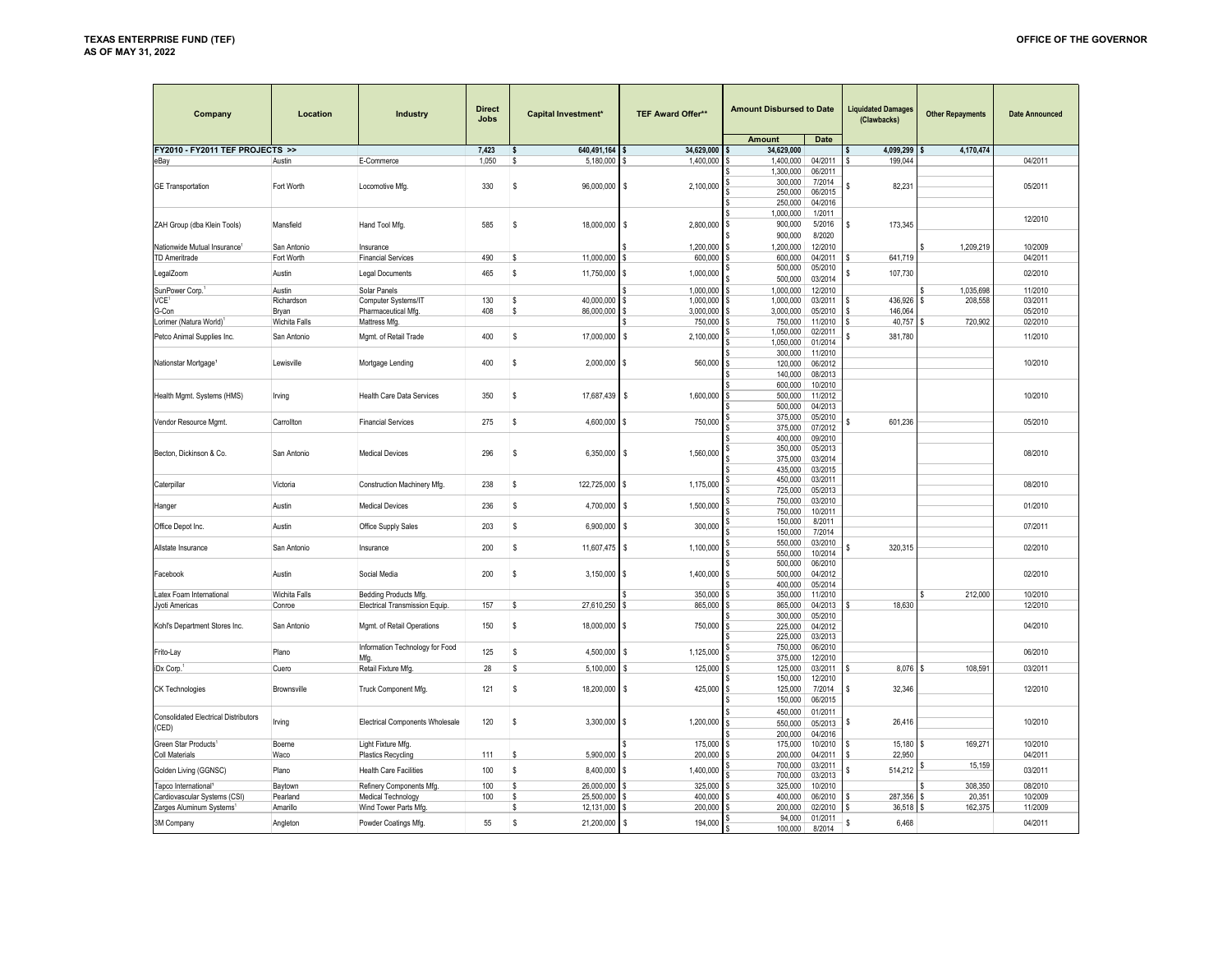| Company                                     | Location      | Industry                               | <b>Direct</b><br><b>Jobs</b> | <b>Capital Investment*</b>   | <b>TEF Award Offer**</b> | <b>Amount Disbursed to Date</b> |                    | <b>Liquidated Damages</b><br>(Clawbacks) | <b>Other Repayments</b> | <b>Date Announced</b> |
|---------------------------------------------|---------------|----------------------------------------|------------------------------|------------------------------|--------------------------|---------------------------------|--------------------|------------------------------------------|-------------------------|-----------------------|
|                                             |               |                                        |                              |                              |                          | Amount                          | Date               |                                          |                         |                       |
| FY2010 - FY2011 TEF PROJECTS >>             |               |                                        | 7,423                        | 640,491,164<br>s             | 34,629,000               | 34,629,000                      |                    | 4,099,299                                | 4,170,474               |                       |
| eBay                                        | Austin        | E-Commerce                             | 1,050                        | s<br>5,180,000               | 1,400,000                | 1,400,000                       | 04/2011            | 199,044                                  |                         | 04/2011               |
|                                             |               |                                        |                              |                              |                          | 1,300,000<br>300,000            | 06/2011<br>7/2014  |                                          |                         |                       |
| <b>GE Transportation</b>                    | Fort Worth    | Locomotive Mfg.                        | 330                          | \$<br>96,000,000 \$          | 2,100,000                | 250,000                         | 06/2015            | 82,231                                   |                         | 05/2011               |
|                                             |               |                                        |                              |                              |                          | 250,000                         | 04/2016            |                                          |                         |                       |
|                                             |               |                                        |                              |                              |                          | 1,000,000                       | 1/2011             |                                          |                         |                       |
| ZAH Group (dba Klein Tools)                 | Mansfield     | Hand Tool Mfg.                         | 585                          | S<br>18,000,000 \$           | 2,800,000                | 900,000                         | 5/2016             | 173,345<br>۱s                            |                         | 12/2010               |
|                                             |               |                                        |                              |                              |                          | 900,000                         | 8/2020             |                                          |                         |                       |
| Nationwide Mutual Insurance <sup>1</sup>    | San Antonio   | Insurance                              |                              |                              | 1,200,000                | 1,200,000                       | 12/2010            |                                          | 1.209.219               | 10/2009               |
| TD Ameritrade                               | Fort Worth    | <b>Financial Services</b>              | 490                          | 11,000,000<br>s              | 600,000                  | 600,000                         | 04/2011            | 641,719                                  |                         | 04/2011               |
| LegalZoom                                   | Austin        | <b>Legal Documents</b>                 | 465                          | s<br>11,750,000 \$           | 1,000,000                | 500,000                         | 05/2010            | 107,730                                  |                         | 02/2010               |
|                                             |               |                                        |                              |                              |                          | 500.000                         | 03/2014            |                                          |                         |                       |
| SunPower Corp.                              | Austin        | Solar Panels                           |                              |                              | 1,000,000                | 1,000,000                       | 12/2010            |                                          | 1.035.698               | 11/2010               |
| VCE <sup>1</sup>                            | Richardson    | Computer Systems/IT                    | 130                          | 40,000,000<br>s              | 1,000,000                | 1,000,000                       | 03/2011            | 436,926                                  | 208,558                 | 03/2011               |
| G-Con                                       | Bryan         | Pharmaceutical Mfg                     | 408                          | 86,000,000<br>s              | 3,000,000                | 3,000,000                       | 05/2010            | 146,064                                  |                         | 05/2010               |
| Lorimer (Natura World)                      | Wichita Falls | Mattress Mfg                           |                              |                              | 750,000                  | 750,000<br>1.050.000            | 11/2010<br>02/2011 | 40,757                                   | 720,902                 | 02/2010               |
| Petco Animal Supplies Inc.                  | San Antonio   | Mgmt. of Retail Trade                  | 400                          | S<br>17,000,000              | 2,100,000<br>l S         | 1,050,000                       | 01/2014            | 381,780                                  |                         | 11/2010               |
|                                             |               |                                        |                              |                              |                          | 300,000                         | 11/2010            |                                          |                         |                       |
| Nationstar Mortgage <sup>1</sup>            | Lewisville    | Mortgage Lending                       | 400                          | s<br>$2,000,000$ \$          | 560,000                  | 120,000                         | 06/2012            |                                          |                         | 10/2010               |
|                                             |               |                                        |                              |                              |                          | 140,000                         | 08/2013            |                                          |                         |                       |
|                                             |               |                                        |                              |                              |                          | 600,000                         | 10/2010            |                                          |                         |                       |
| Health Mgmt. Systems (HMS)                  | Irving        | Health Care Data Services              | 350                          | s<br>17,687,439 \$           | 1,600,000                | 500,000                         | 11/2012            |                                          |                         | 10/2010               |
|                                             |               |                                        |                              |                              |                          | 500,000                         | 04/2013            |                                          |                         |                       |
| Vendor Resource Mgmt.                       | Carrollton    | <b>Financial Services</b>              | 275                          | s<br>4,600,000 \$            | 750,000                  | 375,000                         | 05/2010            | 601,236                                  |                         | 05/2010               |
|                                             |               |                                        |                              |                              |                          | 375,000                         | 07/2012            |                                          |                         |                       |
|                                             |               |                                        |                              |                              |                          | 400,000                         | 09/2010            |                                          |                         |                       |
| Becton, Dickinson & Co.                     | San Antonio   | <b>Medical Devices</b>                 | 296                          | s<br>6,350,000 \$            | 1,560,000                | 350,000<br>375,000              | 05/2013<br>03/2014 |                                          |                         | 08/2010               |
|                                             |               |                                        |                              |                              |                          | 435.000                         | 03/2015            |                                          |                         |                       |
|                                             |               |                                        |                              |                              |                          | 450,000                         | 03/2011            |                                          |                         |                       |
| Caterpillar                                 | Victoria      | Construction Machinery Mfg.            | 238                          | \$<br>122,725,000 \$         | 1,175,000                | 725,000                         | 05/2013            |                                          |                         | 08/2010               |
|                                             | Austin        | <b>Medical Devices</b>                 | 236                          | S<br>4,700,000 \$            | 1,500,000                | 750,000                         | 03/2010            |                                          |                         | 01/2010               |
| Hanger                                      |               |                                        |                              |                              |                          | 750,000                         | 10/2011            |                                          |                         |                       |
| Office Depot Inc.                           | Austin        | Office Supply Sales                    | 203                          | s<br>6,900,000 \$            | 300,000                  | 150,000                         | 8/2011             |                                          |                         | 07/2011               |
|                                             |               |                                        |                              |                              |                          | 150,000<br>550,000              | 7/2014<br>03/2010  |                                          |                         |                       |
| Allstate Insurance                          | San Antonio   | Insurance                              | 200                          | \$<br>11,607,475 \$          | 1,100,000                | 550,000                         | 10/2014            | 320,315                                  |                         | 02/2010               |
|                                             |               |                                        |                              |                              |                          | 500,000                         | 06/2010            |                                          |                         |                       |
| Facebook                                    | Austin        | Social Media                           | 200                          | s<br>$3,150,000$ \$          | 1,400,000                | 500,000                         | 04/2012            |                                          |                         | 02/2010               |
|                                             |               |                                        |                              |                              |                          | 400,000                         | 05/2014            |                                          |                         |                       |
| Latex Foam International                    | Wichita Falls | Bedding Products Mfg.                  |                              |                              | 350,000                  | 350,000                         | 11/2010            |                                          | 212,000                 | 10/2010               |
| Jyoti Americas                              | Conroe        | Electrical Transmission Equip.         | 157                          | 27,610,250<br><sub>S</sub>   | 865,000<br>l S           | 865,000                         | 04/2013            | 18,630                                   |                         | 12/2010               |
|                                             |               |                                        |                              |                              |                          | 300,000                         | 05/2010            |                                          |                         |                       |
| Kohl's Department Stores Inc.               | San Antonio   | Mgmt. of Retail Operations             | 150                          | 18,000,000 \$<br>s           | 750,000                  | 225,000                         | 04/2012            |                                          |                         | 04/2010               |
|                                             |               | Information Technology for Food        |                              |                              |                          | 225,000<br>750,000              | 03/2013<br>06/2010 |                                          |                         |                       |
| Frito-Lay                                   | Plano         | Mfa.                                   | 125                          | s<br>4,500,000               | 1,125,000<br>\$.         | 375,000                         | 12/2010            |                                          |                         | 06/2010               |
| iDx Corp.                                   | Cuero         | Retail Fixture Mfg                     | 28                           | s<br>5,100,000               | 125,000                  | 125,000                         | 03/2011            | 8,076<br>S                               | 108,591                 | 03/2011               |
|                                             |               |                                        |                              |                              |                          | 150,000                         | 12/2010            |                                          |                         |                       |
| <b>CK Technologies</b>                      | Brownsville   | Truck Component Mfg.                   | 121                          | S<br>18,200,000 \$           | 425,000                  | 125,000                         | 7/2014             | s<br>32,346                              |                         | 12/2010               |
|                                             |               |                                        |                              |                              |                          | 150,000                         | 06/2015            |                                          |                         |                       |
| <b>Consolidated Electrical Distributors</b> |               |                                        |                              |                              |                          | 450,000                         | 01/2011            |                                          |                         |                       |
| (CED)                                       | Irving        | <b>Electrical Components Wholesale</b> | 120                          | <sub>S</sub><br>3,300,000 \$ | 1,200,000                | 550,000                         | 05/2013            | 26,416                                   |                         | 10/2010               |
|                                             |               |                                        |                              |                              |                          | 200,000                         | 04/2016            |                                          |                         |                       |
| Green Star Products <sup>1</sup>            | Boerne        | Light Fixture Mfg                      |                              |                              | 175,000                  | 175,000                         | 10/2010            | 15,180<br>s                              | 169,271                 | 10/2010               |
| <b>Coll Materials</b>                       | Waco          | Plastics Recycling                     | 111                          | 5,900,000 \$<br>s            | 200,000                  | 200,000                         | 04/2011            | 22,950<br>s                              |                         | 04/2011               |
| Golden Living (GGNSC)                       | Plano         | <b>Health Care Facilities</b>          | 100                          | s<br>8,400,000 \$            | 1,400,000                | 700,000<br>700,000              | 03/2011<br>03/2013 | 514,212                                  | 15,159                  | 03/2011               |
| Tapco International                         | Baytown       | Refinery Components Mfg                | 100                          | 26,000,000<br>\$.            | 325,000                  | 325,000                         | 10/2010            |                                          | 308,350                 | 08/2010               |
| Cardiovascular Systems (CSI)                | Pearland      | Medical Technology                     | 100                          | 25,500,000<br>s              | 400,000                  | 400,000                         | 06/2010            | 287,356<br>S                             | 20,351                  | 10/2009               |
| Zarges Aluminum Systems                     | Amarillo      | Wind Tower Parts Mfg.                  |                              | 12,131,000<br>Ś              | 200,000                  | 200,000                         | 02/2010            | s<br>36,518                              | 162,375                 | 11/2009               |
| 3M Company                                  | Angleton      |                                        | 55                           | s<br>21,200,000 \$           | 194,000                  | 94.000                          | 01/2011            | S<br>6,468                               |                         | 04/2011               |
|                                             |               | Powder Coatings Mfg                    |                              |                              |                          | 100,000                         | 8/2014             |                                          |                         |                       |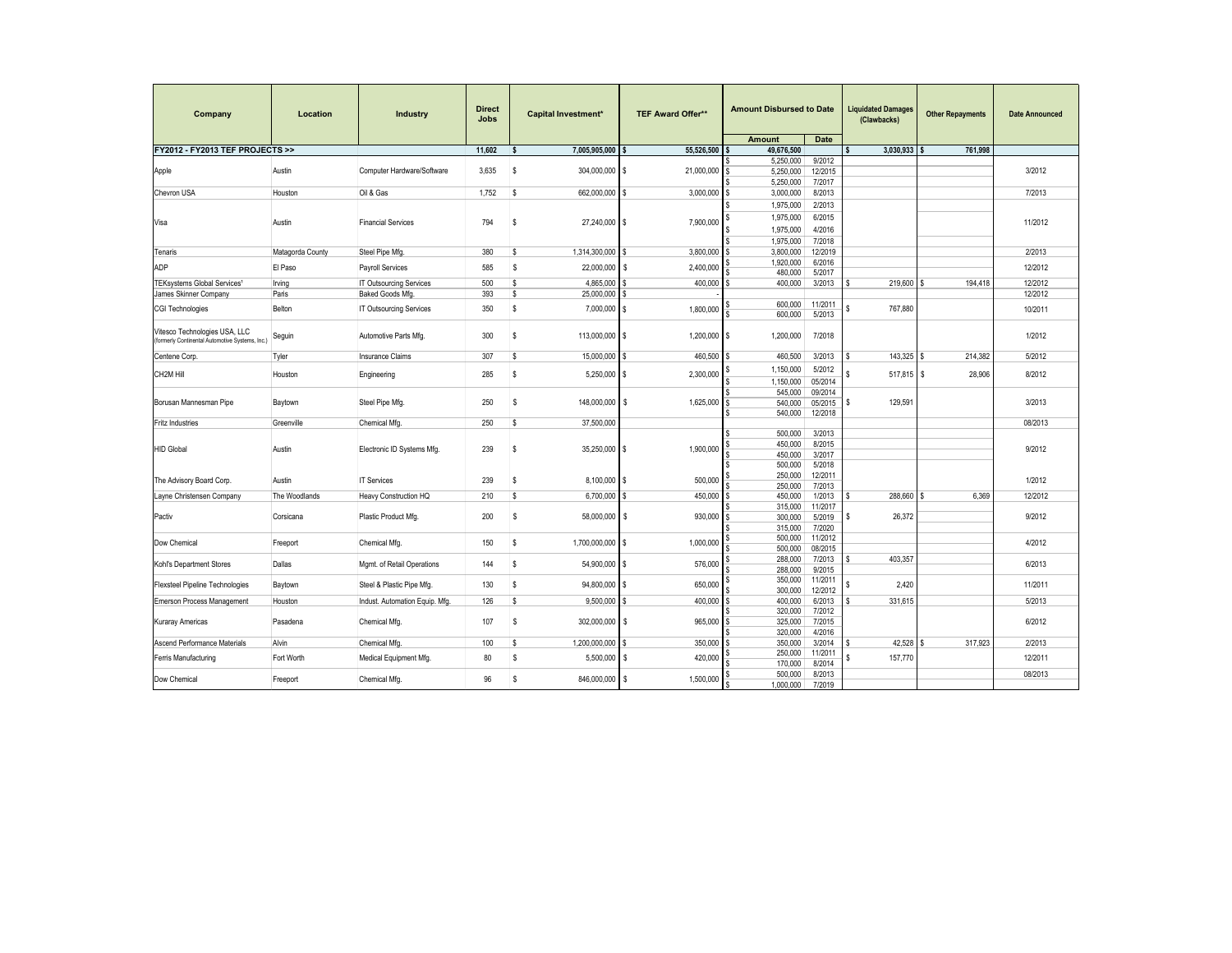| Company                                                                          | Location         | Industry                       | <b>Direct</b><br><b>Jobs</b> | <b>Capital Investment*</b> | <b>TEF Award Offer**</b> | <b>Amount Disbursed to Date</b><br><b>Amount</b><br><b>Date</b> |                   | <b>Liquidated Damages</b><br>(Clawbacks) | <b>Other Repayments</b> | <b>Date Announced</b> |
|----------------------------------------------------------------------------------|------------------|--------------------------------|------------------------------|----------------------------|--------------------------|-----------------------------------------------------------------|-------------------|------------------------------------------|-------------------------|-----------------------|
| FY2012 - FY2013 TEF PROJECTS >>                                                  |                  |                                | 11.602                       | ¢                          |                          |                                                                 |                   |                                          |                         |                       |
|                                                                                  |                  |                                |                              | 7,005,905,000              | 55,526,500               | 49,676,500                                                      | 9/2012            | 3,030,933                                | 761,998                 |                       |
|                                                                                  | Austin           |                                | 3,635                        | s                          |                          | 5,250,000                                                       |                   |                                          |                         | 3/2012                |
| Apple                                                                            |                  | Computer Hardware/Software     |                              | 304,000,000 \$             | 21,000,000 \$            | 5,250,000                                                       | 12/2015<br>7/2017 |                                          |                         |                       |
|                                                                                  |                  |                                |                              |                            |                          | 5,250,000<br>\$                                                 |                   |                                          |                         | 7/2013                |
| Chevron USA                                                                      | Houston          | Oil & Gas                      | 1,752                        | s<br>662,000,000           | 3,000,000<br>I \$        | 3,000,000                                                       | 8/2013            |                                          |                         |                       |
|                                                                                  |                  |                                |                              |                            |                          | 1,975,000                                                       | 2/2013            |                                          |                         |                       |
| Visa                                                                             | Austin           | <b>Financial Services</b>      | 794                          | s<br>27.240.000 \$         | 7,900,000                | 1.975.000                                                       | 6/2015            |                                          |                         | 11/2012               |
|                                                                                  |                  |                                |                              |                            |                          | 1.975.000                                                       | 4/2016            |                                          |                         |                       |
|                                                                                  |                  |                                |                              |                            |                          | 1,975,000                                                       | 7/2018            |                                          |                         |                       |
| Tenaris                                                                          | Matagorda County | Steel Pipe Mfg.                | 380                          | s<br>1,314,300,000         | 3,800,000<br>l \$        | 3,800,000<br>s                                                  | 12/2019           |                                          |                         | 2/2013                |
| ADP                                                                              | El Paso          | Payroll Services               | 585                          | 22,000,000<br>s            | 2,400,000<br>l s         | 1,920,000                                                       | 6/2016            |                                          |                         | 12/2012               |
|                                                                                  |                  |                                |                              |                            |                          | 480,000                                                         | 5/2017            |                                          |                         |                       |
| <b>TEKsystems Global Services<sup>1</sup></b>                                    | Irvina           | IT Outsourcing Services        | 500                          | 4.865.000<br>s             | 400.000<br>l \$          | 400.000<br>S                                                    | 3/2013            | 219,600<br>S                             | 194.418<br>۱s           | 12/2012               |
| James Skinner Company                                                            | Paris            | <b>Baked Goods Mfg</b>         | 393                          | s<br>25,000,000            | <b>S</b>                 |                                                                 |                   |                                          |                         | 12/2012               |
| CGI Technologies                                                                 | Belton           | IT Outsourcing Services        | 350                          | s<br>7,000,000             | 1,800,000<br>l \$        | 600,000                                                         | 11/2011           | 767,880                                  |                         | 10/2011               |
|                                                                                  |                  |                                |                              |                            |                          | 600,000                                                         | 5/2013            |                                          |                         |                       |
| Vitesco Technologies USA, LLC<br>(formerly Continental Automotive Systems, Inc.) | Seguin           | Automotive Parts Mfg.          | 300                          | s<br>113,000,000 \$        | $1,200,000$ \$           | 1,200,000                                                       | 7/2018            |                                          |                         | 1/2012                |
| Centene Corp.                                                                    | Tyler            | <b>Insurance Claims</b>        | 307                          | 15,000,000<br>s            | 460,500                  | 460.500                                                         | 3/2013            | 143,325                                  | 214.382<br>۱s           | 5/2012                |
|                                                                                  |                  |                                |                              |                            |                          | 1,150,000                                                       | 5/2012            |                                          |                         |                       |
| CH <sub>2M</sub> Hill                                                            | Houston          | Engineering                    | 285                          | s<br>5,250,000 \$          | 2,300,000                | 1,150,000                                                       | 05/2014           | $517,815$ \$                             | 28,906                  | 8/2012                |
|                                                                                  |                  |                                |                              |                            |                          | 545,000                                                         | 09/2014           |                                          |                         |                       |
| Borusan Mannesman Pipe                                                           | Baytown          | Steel Pipe Mfg.                | 250                          | 148,000,000 \$<br>s        | 1,625,000                | S<br>540,000                                                    | 05/2015           | 129,591<br>S                             |                         | 3/2013                |
|                                                                                  |                  |                                |                              |                            |                          | 540,000                                                         | 12/2018           |                                          |                         |                       |
| <b>Fritz Industries</b>                                                          | Greenville       | Chemical Mfg                   | 250                          | s<br>37,500,000            |                          |                                                                 |                   |                                          |                         | 08/2013               |
|                                                                                  |                  |                                |                              |                            |                          | 500.000                                                         | 3/2013            |                                          |                         |                       |
| <b>HID Global</b>                                                                | Austin           | Electronic ID Systems Mfg.     | 239                          | s<br>35.250.000 \$         | 1,900,000                | 450,000                                                         | 8/2015            |                                          |                         | 9/2012                |
|                                                                                  |                  |                                |                              |                            |                          | 450,000                                                         | 3/2017            |                                          |                         |                       |
|                                                                                  |                  |                                |                              |                            |                          | 500,000                                                         | 5/2018            |                                          |                         |                       |
| The Advisory Board Corp.                                                         | Austin           | <b>IT Services</b>             | 239                          | s<br>8,100,000 \$          | 500,000                  | 250,000                                                         | 12/2011           |                                          |                         | 1/2012                |
|                                                                                  |                  |                                |                              |                            |                          | 250,000                                                         | 7/2013            |                                          |                         |                       |
| Layne Christensen Company                                                        | The Woodlands    | <b>Heavy Construction HQ</b>   | 210                          | s<br>6,700,000             | 450,000<br>I S           | 450.000                                                         | 1/2013            | 288.660<br>s                             | 6.369                   | 12/2012               |
|                                                                                  |                  |                                |                              |                            |                          | 315,000                                                         | 11/2017           |                                          |                         |                       |
| Pactiv                                                                           | Corsicana        | Plastic Product Mfg.           | 200                          | s<br>58,000,000 \$         | 930,000                  | \$.<br>300,000                                                  | 5/2019            | 26,372<br><b>s</b>                       |                         | 9/2012                |
|                                                                                  |                  |                                |                              |                            |                          | 315,000<br>500,000                                              | 7/2020<br>11/2012 |                                          |                         |                       |
| Dow Chemical                                                                     | Freeport         | Chemical Mfg                   | 150                          | s<br>1,700,000,000 \$      | 1,000,000                | 500,000                                                         | 08/2015           |                                          |                         | 4/2012                |
|                                                                                  |                  |                                |                              |                            |                          | 288,000                                                         | 7/2013            | 403,357                                  |                         |                       |
| Kohl's Department Stores                                                         | Dallas           | Mgmt. of Retail Operations     | 144                          | s<br>54,900,000 \$         | 576,000                  | 288,000                                                         | 9/2015            |                                          |                         | 6/2013                |
|                                                                                  |                  |                                |                              |                            |                          | 350,000                                                         | 11/2011           |                                          |                         |                       |
| <b>Flexsteel Pipeline Technologies</b>                                           | Baytown          | Steel & Plastic Pipe Mfg.      | 130                          | s<br>94,800,000            | 650,000<br>l \$          | 300,000                                                         | 12/2012           | 2,420                                    |                         | 11/2011               |
| <b>Emerson Process Management</b>                                                | Houston          | Indust. Automation Equip. Mfg. | 126                          | s<br>9,500,000             | 400,000<br>l \$          | 400,000                                                         | 6/2013            | 331,615                                  |                         | 5/2013                |
| Kuraray Americas                                                                 |                  |                                |                              |                            |                          | 320,000                                                         | 7/2012            |                                          |                         |                       |
|                                                                                  | Pasadena         | Chemical Mfg                   | 107                          | 302,000,000 \$<br>s        | 965,000                  | \$.<br>325,000                                                  | 7/2015            |                                          |                         | 6/2012                |
|                                                                                  |                  |                                |                              |                            |                          | 320,000                                                         | 4/2016            |                                          |                         |                       |
| Ascend Performance Materials                                                     | Alvin            | Chemical Mfg                   | 100                          | s<br>1,200,000,000         | 350,000<br>I S           | 350,000<br>\$.                                                  | 3/2014            | 42,528<br>S                              | 317,923<br>۱Ŝ           | 2/2013                |
| Ferris Manufacturing                                                             | Fort Worth       | Medical Equipment Mfg          | 80                           | s<br>5,500,000             | 420,000<br>I S           | 250,000                                                         | 11/2011           | 157,770                                  |                         | 12/2011               |
|                                                                                  |                  |                                |                              |                            |                          | 170,000                                                         | 8/2014            |                                          |                         |                       |
| Dow Chemical                                                                     | Freeport         | Chemical Mfg                   | 96                           | 846,000,000<br>s           | 1,500,000<br>l s         | 500,000                                                         | 8/2013            |                                          |                         | 08/2013               |
|                                                                                  |                  |                                |                              |                            |                          | 1.000.000                                                       | 7/2019            |                                          |                         |                       |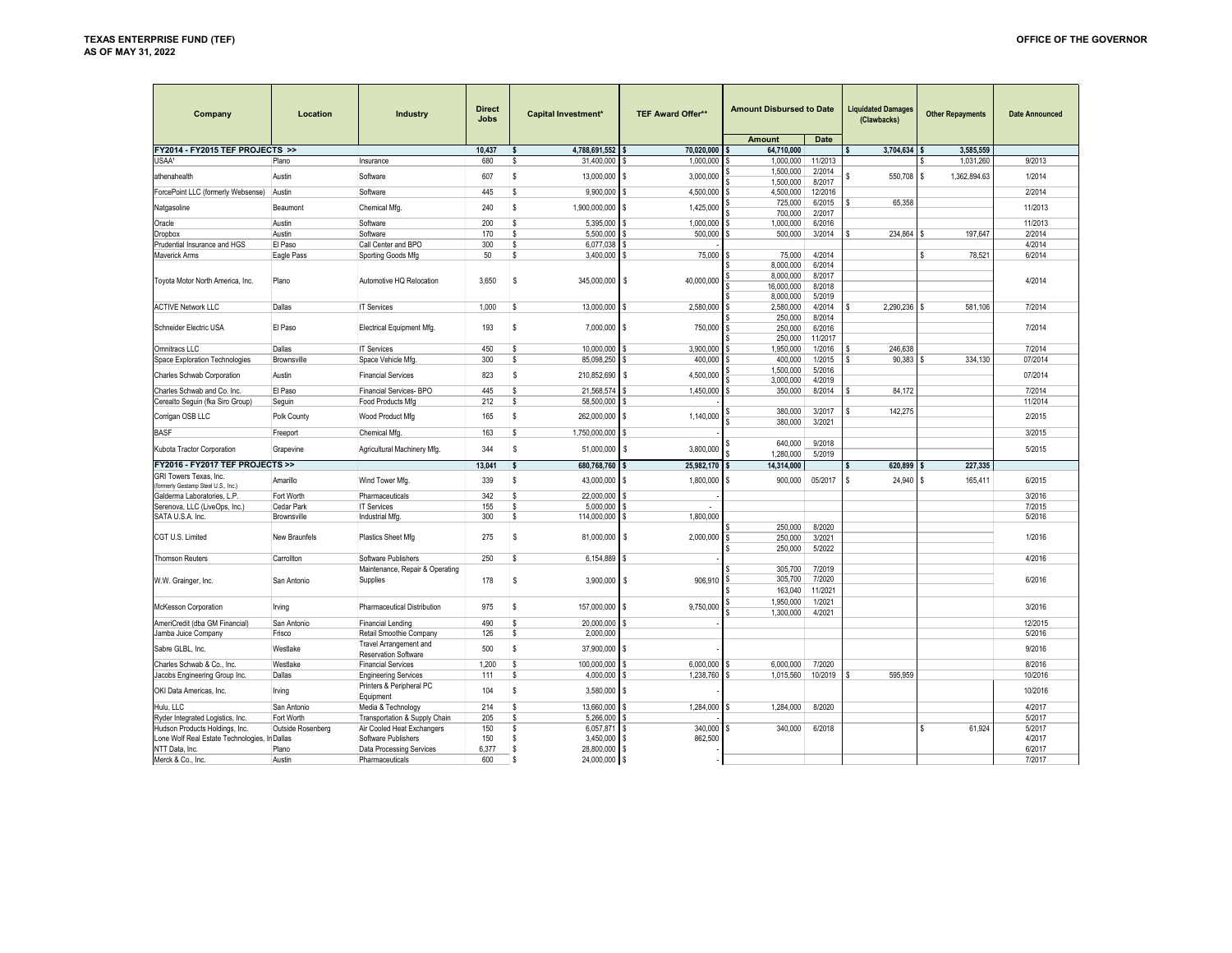| Company                             | Location          | <b>Industry</b>                       | <b>Direct</b><br><b>Jobs</b> | <b>Capital Investment*</b> | <b>TEF Award Offer**</b>  | <b>Amount Disbursed to Date</b> |                  |   | <b>Liquidated Damages</b><br>(Clawbacks) | <b>Other Repayments</b> | <b>Date Announced</b> |
|-------------------------------------|-------------------|---------------------------------------|------------------------------|----------------------------|---------------------------|---------------------------------|------------------|---|------------------------------------------|-------------------------|-----------------------|
|                                     |                   |                                       |                              |                            |                           | <b>Amount</b>                   | Date             |   |                                          |                         |                       |
| FY2014 - FY2015 TEF PROJECTS >>     |                   |                                       | 10.437                       | 4,788,691,552<br>\$.       | 70,020,000                | 64,710,000                      |                  |   | 3,704,634                                | 3.585.559               |                       |
| USAA <sup>1</sup>                   | Plano             | Insurance                             | 680                          | 31,400,000<br>s            | <sup>S</sup><br>1,000,000 | 1,000,000                       | 11/2013          |   |                                          | 1,031,260<br>S          | 9/2013                |
| athenahealth                        | Austin            | Software                              | 607                          | 13,000,000<br>s            | 3,000,000<br>l s          | 1,500,000<br>1,500,000          | 2/2014<br>8/2017 |   | 550,708                                  | ١s<br>1,362,894.63      | 1/2014                |
| ForcePoint LLC (formerly Websense)  | Austin            | Software                              | 445                          | s<br>9.900.000             | 4.500.000                 | 4.500.000                       | 12/2016          |   |                                          |                         | 2/2014                |
| Natgasoline                         | Beaumont          | Chemical Mfg.                         | 240                          | s<br>1,900,000,000         | 1,425,000<br>l \$         | 725,000<br>700,000              | 6/2015<br>2/2017 |   | 65,358                                   |                         | 11/2013               |
| Oracle                              | Austin            | Software                              | 200                          | 5,395,000<br>s             | 1,000,000<br>l \$         | 1,000,000                       | 6/2016           |   |                                          |                         | 11/2013               |
| <b>Dropbox</b>                      | Austin            | Software                              | 170                          | 5.500.000<br>s             | <b>S</b><br>500,000       | 500,000                         | 3/2014           |   | 234.864                                  | 197.647<br>۱s           | 2/2014                |
| Prudential Insurance and HGS        | El Paso           | Call Center and BPO                   | 300                          | 6,077,038<br>s             | l s                       |                                 |                  |   |                                          |                         | 4/2014                |
| Maverick Arms                       | Eagle Pass        | Sporting Goods Mfg                    | 50                           | 3,400,000<br>s             | 75,000<br>l \$            | 75,000                          | 4/2014           |   |                                          | 78,521<br>l S           | 6/2014                |
|                                     |                   |                                       |                              |                            |                           | 8.000.000                       | 6/2014           |   |                                          |                         |                       |
|                                     |                   |                                       |                              |                            |                           | 8,000,000                       | 8/2017           |   |                                          |                         |                       |
| Toyota Motor North America, Inc.    | Plano             | Automotive HQ Relocation              | 3,650                        | <b>s</b><br>345,000,000 \$ | 40,000,000                | 16,000,000                      | 8/2018           |   |                                          |                         | 4/2014                |
|                                     |                   |                                       |                              |                            |                           | 8,000,000                       | 5/2019           |   |                                          |                         |                       |
| <b>ACTIVE Network LLC</b>           | Dallas            | <b>IT Services</b>                    | 1,000                        | s<br>13,000,000            | 2,580,000<br>l s          | 2,580,000<br>\$                 | 4/2014           |   | 2,290,236 \$                             | 581.106                 | 7/2014                |
|                                     |                   |                                       |                              |                            |                           | 250,000                         | 8/2014           |   |                                          |                         |                       |
| Schneider Electric USA              | El Paso           | Electrical Equipment Mfg.             | 193                          | 7,000,000 \$<br>s          | 750,000                   | 250,000                         | 6/2016           |   |                                          |                         | 7/2014                |
|                                     |                   |                                       |                              |                            |                           | 250,000                         | 11/2017          |   |                                          |                         |                       |
| <b>Omnitracs LLC</b>                | Dallas            | <b>IT Services</b>                    | 450                          | 10.000.000<br>s            | 3.900.000                 | 1.950.000                       | 1/2016           | S | 246.638                                  |                         | 7/2014                |
| Space Exploration Technologies      | Brownsville       | Space Vehicle Mfg.                    | 300                          | s<br>85,098,250            | l s<br>400,000            | 400,000                         | 1/2015           |   | 90,383                                   | 334,130<br>۱s           | 07/2014               |
| Charles Schwab Corporation          | Austin            | <b>Financial Services</b>             | 823                          | \$<br>210,852,690          | 4,500,000<br>l S          | 1.500.000<br>3,000,000          | 5/2016<br>4/2019 |   |                                          |                         | 07/2014               |
| Charles Schwab and Co. Inc.         | El Paso           | <b>Financial Services-BPO</b>         | 445                          | 21.568.57<br>S             | 1,450,000<br>l S          | 350,000<br>-5                   | 8/2014           | s | 84,172                                   |                         | 7/2014                |
| Cerealto Seguin (fka Siro Group)    | Seguin            | Food Products Mfg                     | 212                          | 58,500,000<br>s            | l S                       |                                 |                  |   |                                          |                         | 11/2014               |
|                                     |                   |                                       |                              |                            |                           | 380,000                         | 3/2017           |   | 142,275                                  |                         |                       |
| Corrigan OSB LLC                    | Polk County       | Wood Product Mfg                      | 165                          | s<br>262,000,000           | 1,140,000<br>l s          | 380.000                         | 3/2021           |   |                                          |                         | 2/2015                |
| <b>BASF</b>                         | Freeport          | Chemical Mfg.                         | 163                          | s<br>1,750,000,000         | l S                       |                                 |                  |   |                                          |                         | 3/2015                |
| Kubota Tractor Corporation          | Grapevine         | Agricultural Machinery Mfg.           | 344                          | s<br>51,000,000            | 3,800,000<br>l s          | 640,000<br>1,280,000            | 9/2018<br>5/2019 |   |                                          |                         | 5/2015                |
| FY2016 - FY2017 TEF PROJECTS >>     |                   |                                       | 13.041                       | s<br>680,768,760           | 25,982,170                | 14,314,000                      |                  | s | 620,899                                  | 227,335<br>۱s           |                       |
| GRI Towers Texas, Inc.              |                   |                                       |                              |                            |                           |                                 |                  |   |                                          |                         |                       |
| (formerly Gestamp Steel U.S., Inc.) | Amarillo          | Wind Tower Mfg.                       | 339                          | s<br>43,000,000            | 1,800,000<br>l S          | 900,000<br>ŝ.                   | 05/2017          | S | 24,940                                   | 165,411<br>۱s           | 6/2015                |
| Galderma Laboratories, L.P.         | Fort Worth        | Pharmaceuticals                       | 342                          | 22,000,000<br>s            | l \$                      |                                 |                  |   |                                          |                         | 3/2016                |
| Serenova, LLC (LiveOps, Inc.)       | Cedar Park        | <b>IT Services</b>                    | 155                          | 5,000,000<br>s             |                           |                                 |                  |   |                                          |                         | 7/2015                |
| SATA U.S.A. Inc.                    | Brownsville       | <b>Industrial Mfg</b>                 | 300                          | 114,000,000<br>s           | 1,800,000<br>l S          |                                 |                  |   |                                          |                         | 5/2016                |
|                                     |                   |                                       |                              |                            |                           | 250,000                         | 8/2020           |   |                                          |                         |                       |
| CGT U.S. Limited                    | New Braunfels     | <b>Plastics Sheet Mfg</b>             | 275                          | s<br>81,000,000            | 2,000,000<br>l S          | 250,000                         | 3/2021           |   |                                          |                         | 1/2016                |
|                                     |                   |                                       |                              |                            |                           | 250,000                         | 5/2022           |   |                                          |                         |                       |
| <b>Thomson Reuters</b>              | Carrollton        | Software Publishers                   | 250                          | 6,154,889<br>s             | l \$                      |                                 |                  |   |                                          |                         | 4/2016                |
|                                     |                   | Maintenance, Repair & Operating       |                              |                            |                           | 305,700                         | 7/2019           |   |                                          |                         |                       |
| W.W. Grainger, Inc.                 | San Antonio       | Supplies                              | 178                          | 3,900,000 \$<br>s          | 906,910                   | 305,700                         | 7/2020           |   |                                          |                         | 6/2016                |
|                                     |                   |                                       |                              |                            |                           | 163,040                         | 11/2021          |   |                                          |                         |                       |
| McKesson Corporation                | Irving            | Pharmaceutical Distribution           | 975                          | 157,000,000<br>s           | 9,750,000<br>l \$         | 1.950.000                       | 1/2021           |   |                                          |                         | 3/2016                |
| AmeriCredit (dba GM Financial)      | San Antonio       | <b>Financial Lending</b>              | 490                          | 20,000,000<br>s            |                           | 1,300,000                       | 4/2021           |   |                                          |                         | 12/2015               |
| Jamba Juice Company                 | Frisco            | Retail Smoothie Company               | 126                          | 2.000.000<br>s             |                           |                                 |                  |   |                                          |                         | 5/2016                |
|                                     |                   | <b>Travel Arrangement and</b>         |                              |                            |                           |                                 |                  |   |                                          |                         |                       |
| Sabre GLBL, Inc.                    | Westlake          | <b>Reservation Software</b>           | 500                          | s<br>37,900,000            | l s                       |                                 |                  |   |                                          |                         | 9/2016                |
| Charles Schwab & Co., Inc.          | Westlake          | <b>Financial Services</b>             | 1,200                        | s<br>100,000,000           | 6,000,000                 | 6,000,000                       | 7/2020           |   |                                          |                         | 8/2016                |
| Jacobs Engineering Group Inc.       | Dallas            | <b>Engineering Services</b>           | 111                          | 4,000,000<br>s             | 1,238,760<br>l S          | 1,015,560                       | 10/2019          |   | 595.959                                  |                         | 10/2016               |
| OKI Data Americas, Inc.             | Irving            | Printers & Peripheral PC<br>Equipment | 104                          | s<br>3,580,000             | l s                       |                                 |                  |   |                                          |                         | 10/2016               |
| Hulu, LLC                           | San Antonio       | Media & Technology                    | 214                          | 13,660,000<br>s            | 1,284,000                 | 1,284,000                       | 8/2020           |   |                                          |                         | 4/2017                |
| Ryder Integrated Logistics, Inc.    | Fort Worth        | Transportation & Supply Chain         | 205                          | 5,266,000<br>s             | l S                       |                                 |                  |   |                                          |                         | 5/2017                |
| Hudson Products Holdings, Inc.      | Outside Rosenberg | Air Cooled Heat Exchangers            | 150                          | 6,057,871<br>s             | 340,000<br>l s            | 340,000                         | 6/2018           |   |                                          | 61,924<br><sup>S</sup>  | 5/2017                |
| Lone Wolf Real Estate Technologies, | In Dallas         | Software Publishers                   | 150                          | 3,450,000<br>s             | 862,500<br>l \$           |                                 |                  |   |                                          |                         | 4/2017                |
| NTT Data, Inc.                      | Plano             | Data Processing Services              | 6.377                        | 28,800,000<br>s            | l s                       |                                 |                  |   |                                          |                         | 6/2017                |
| Merck & Co., Inc.                   | Austin            | Pharmaceuticals                       | 600                          | 24,000,000<br>S.           | l s                       |                                 |                  |   |                                          |                         | 7/2017                |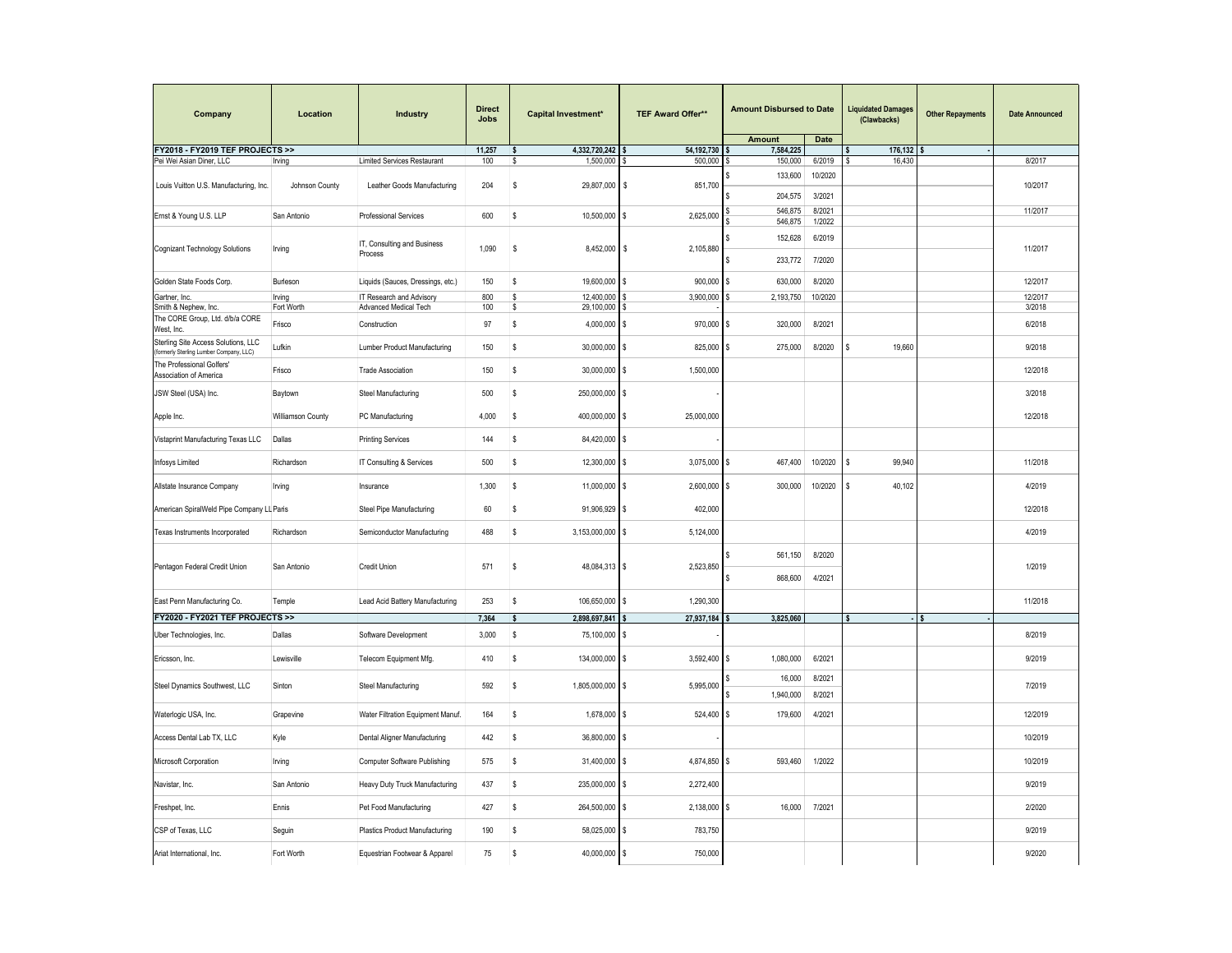| Company                                                                        | Location          | Industry                               | <b>Direct</b><br>Jobs | Capital Investment*             | TEF Award Offer**       | <b>Amount Disbursed to Date</b> |                  | <b>Liquidated Damages</b><br>(Clawbacks) | <b>Other Repayments</b> | <b>Date Announced</b> |
|--------------------------------------------------------------------------------|-------------------|----------------------------------------|-----------------------|---------------------------------|-------------------------|---------------------------------|------------------|------------------------------------------|-------------------------|-----------------------|
| FY2018 - FY2019 TEF PROJECTS >>                                                |                   |                                        |                       | <b>s</b>                        |                         | <b>Amount</b>                   | Date             |                                          |                         |                       |
| Pei Wei Asian Diner, LLC                                                       | Irving            | Limited Services Restaurant            | 11,257<br>100         | 4,332,720,242<br>s<br>1,500,000 | 54,192,730<br>500,000   | 7,584,225<br>150,000            | 6/2019           | 176,132<br>l S<br>16,430                 |                         | 8/2017                |
| Louis Vuitton U.S. Manufacturing, Inc.                                         | Johnson County    | Leather Goods Manufacturing            | 204                   | s<br>29,807,000 \$              | 851,700                 | 133,600                         | 10/2020          |                                          |                         | 10/2017               |
|                                                                                |                   |                                        |                       |                                 |                         | 204,575<br>546,875              | 3/2021<br>8/2021 |                                          |                         | 11/2017               |
| Ernst & Young U.S. LLP                                                         | San Antonio       | Professional Services                  | 600                   | s<br>10,500,000                 | l \$<br>2,625,000       | 546,875                         | 1/2022           |                                          |                         |                       |
|                                                                                |                   |                                        |                       |                                 |                         |                                 |                  |                                          |                         |                       |
| Cognizant Technology Solutions                                                 | Irving            | IT, Consulting and Business<br>Process | 1,090                 | s<br>8,452,000 \$               | 2,105,880               | 152,628<br>233,772              | 6/2019<br>7/2020 |                                          |                         | 11/2017               |
| Golden State Foods Corp.                                                       | Burleson          | Liquids (Sauces, Dressings, etc.)      | 150                   | 19,600,000<br>s                 | <b>S</b><br>900,000     | 630,000<br>\$.                  | 8/2020           |                                          |                         | 12/2017               |
| Gartner, Inc.                                                                  | Irving            | IT Research and Advisory               | 800                   | 12,400,000<br>s                 | 3,900,000               | 2,193,750                       | 10/2020          |                                          |                         | 12/2017               |
| Smith & Nephew, Inc.                                                           | Fort Worth        | Advanced Medical Tech                  | 100                   | 29,100,000<br>s                 | l S                     |                                 |                  |                                          |                         | 3/2018                |
| The CORE Group, Ltd. d/b/a CORE<br>West, Inc.                                  | Frisco            | Construction                           | 97                    | 4,000,000<br>s                  | 970,000<br>l \$         | 320,000<br>s                    | 8/2021           |                                          |                         | 6/2018                |
| Sterling Site Access Solutions, LLC<br>(formerly Sterling Lumber Company, LLC) | Lufkin            | Lumber Product Manufacturing           | 150                   | s<br>30,000,000                 | l s<br>825,000          | 275,000                         | 8/2020           | 19,660<br><b>S</b>                       |                         | 9/2018                |
| The Professional Golfers'<br>Association of America                            | Frisco            | <b>Trade Association</b>               | 150                   | s<br>30,000,000                 | l s<br>1,500,000        |                                 |                  |                                          |                         | 12/2018               |
| JSW Steel (USA) Inc.                                                           | Baytown           | Steel Manufacturing                    | 500                   | s<br>250,000,000                | l \$                    |                                 |                  |                                          |                         | 3/2018                |
| Apple Inc.                                                                     | Williamson County | PC Manufacturing                       | 4,000                 | 400,000,000<br>\$               | l \$<br>25,000,000      |                                 |                  |                                          |                         | 12/2018               |
| Vistaprint Manufacturing Texas LLC                                             | Dallas            | <b>Printing Services</b>               | 144                   | s<br>84,420,000                 | l\$                     |                                 |                  |                                          |                         |                       |
| <b>Infosys Limited</b>                                                         | Richardson        | IT Consulting & Services               | 500                   | s<br>12,300,000                 | l s<br>3,075,000        | 467,400<br>Ŝ.                   | 10/2020          | l s<br>99,940                            |                         | 11/2018               |
| Allstate Insurance Company                                                     | Irving            | Insurance                              | 1,300                 | 11,000,000<br><b>s</b>          | <b>S</b><br>2,600,000   | 300,000<br>\$.                  | 10/2020          | l s<br>40,102                            |                         | 4/2019                |
| American SpiralWeld Pipe Company LL Paris                                      |                   | Steel Pipe Manufacturing               | 60                    | 91,906,929<br>s                 | l s<br>402,000          |                                 |                  |                                          |                         | 12/2018               |
| Texas Instruments Incorporated                                                 | Richardson        | Semiconductor Manufacturing            | 488                   | s<br>3,153,000,000              | l s<br>5,124,000        |                                 |                  |                                          |                         | 4/2019                |
| Pentagon Federal Credit Union                                                  | San Antonio       | <b>Credit Union</b>                    | 571                   | s<br>48,084,313 \$              | 2,523,850               | 561,150<br>868,600              | 8/2020<br>4/2021 |                                          |                         | 1/2019                |
| East Penn Manufacturing Co.                                                    | Temple            | Lead Acid Battery Manufacturing        | 253                   | s<br>106,650,000                | 1,290,300<br>l \$       |                                 |                  |                                          |                         | 11/2018               |
| FY2020 - FY2021 TEF PROJECTS >>                                                |                   |                                        | 7,364                 | 2,898,697,841<br><b>s</b>       | 27,937,184              | 3,825,060                       |                  | s                                        | s                       |                       |
| Uber Technologies, Inc.                                                        | Dallas            | Software Development                   | 3,000                 | s<br>75,100,000                 | l s                     |                                 |                  |                                          |                         | 8/2019                |
| Ericsson, Inc.                                                                 | Lewisville        | Telecom Equipment Mfg.                 | 410                   | s<br>134,000,000                | $\sqrt{3}$<br>3,592,400 | 1,080,000<br>Ŝ.                 | 6/2021           |                                          |                         | 9/2019                |
| Steel Dynamics Southwest, LLC                                                  | Sinton            | Steel Manufacturing                    | 592                   | 1,805,000,000 \$<br>\$          | 5,995,000               | 16,000                          | 8/2021           |                                          |                         | 7/2019                |
| Waterlogic USA, Inc.                                                           | Grapevine         | Water Filtration Equipment Manuf.      | 164                   | s<br>1,678,000                  | l s<br>524,400          | 1,940,000<br>179,600<br>\$      | 8/2021<br>4/2021 |                                          |                         | 12/2019               |
| Access Dental Lab TX, LLC                                                      | Kyle              | Dental Aligner Manufacturing           | 442                   | s<br>36,800,000                 | l \$                    |                                 |                  |                                          |                         | 10/2019               |
| Microsoft Corporation                                                          | Irving            | Computer Software Publishing           | 575                   | 31,400,000<br>s                 | 4,874,850<br>l s        | 593,460<br>\$.                  | 1/2022           |                                          |                         | 10/2019               |
| Navistar, Inc.                                                                 | San Antonio       | Heavy Duty Truck Manufacturing         | 437                   | 235,000,000 \$<br>s             | 2,272,400               |                                 |                  |                                          |                         | 9/2019                |
| Freshpet, Inc.                                                                 | Ennis             | Pet Food Manufacturing                 | 427                   | s<br>264,500,000                | l \$<br>2,138,000       | 16,000<br>\$.                   | 7/2021           |                                          |                         | 2/2020                |
| CSP of Texas, LLC                                                              | Seguin            | Plastics Product Manufacturing         | 190                   | s<br>58,025,000                 | <sub>S</sub><br>783,750 |                                 |                  |                                          |                         | 9/2019                |
| Ariat International, Inc.                                                      | Fort Worth        | Equestrian Footwear & Apparel          | 75                    | 40,000,000 \$<br>s              | 750,000                 |                                 |                  |                                          |                         | 9/2020                |